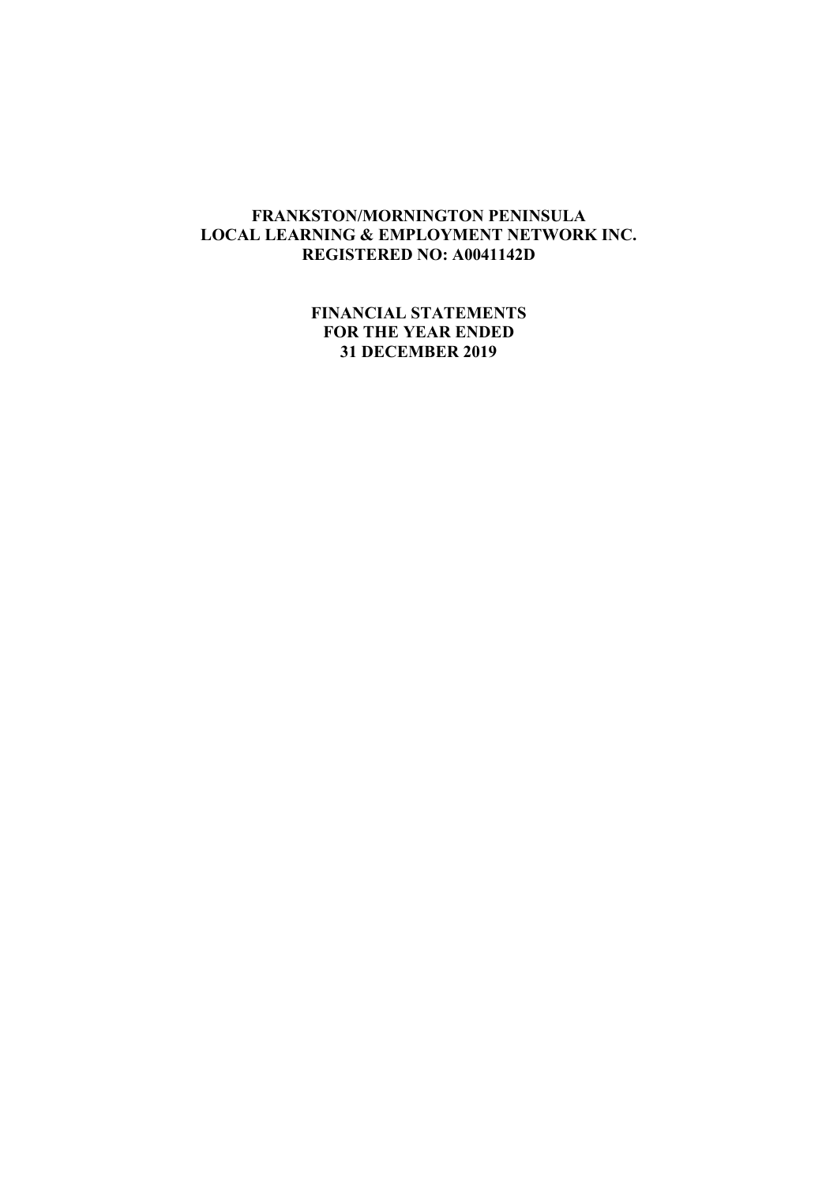**FINANCIAL STATEMENTS FOR THE YEAR ENDED 31 DECEMBER 2019**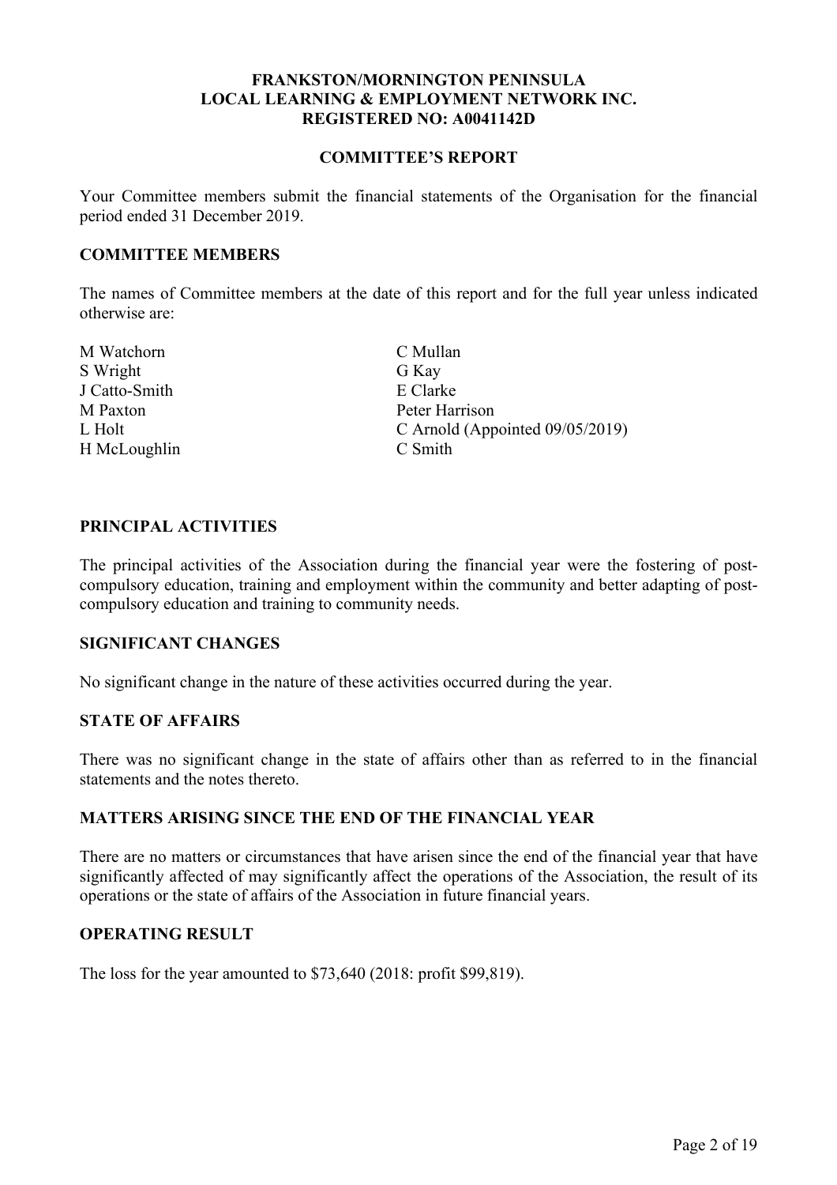#### **COMMITTEE'S REPORT**

Your Committee members submit the financial statements of the Organisation for the financial period ended 31 December 2019.

### **COMMITTEE MEMBERS**

The names of Committee members at the date of this report and for the full year unless indicated otherwise are:

M Watchorn C Mullan S Wright G Kay J Catto-Smith E Clarke M Paxton Peter Harrison H McLoughlin C Smith

L Holt C Arnold (Appointed 09/05/2019)

### **PRINCIPAL ACTIVITIES**

The principal activities of the Association during the financial year were the fostering of postcompulsory education, training and employment within the community and better adapting of postcompulsory education and training to community needs.

### **SIGNIFICANT CHANGES**

No significant change in the nature of these activities occurred during the year.

### **STATE OF AFFAIRS**

There was no significant change in the state of affairs other than as referred to in the financial statements and the notes thereto.

### **MATTERS ARISING SINCE THE END OF THE FINANCIAL YEAR**

There are no matters or circumstances that have arisen since the end of the financial year that have significantly affected of may significantly affect the operations of the Association, the result of its operations or the state of affairs of the Association in future financial years.

### **OPERATING RESULT**

The loss for the year amounted to \$73,640 (2018: profit \$99,819).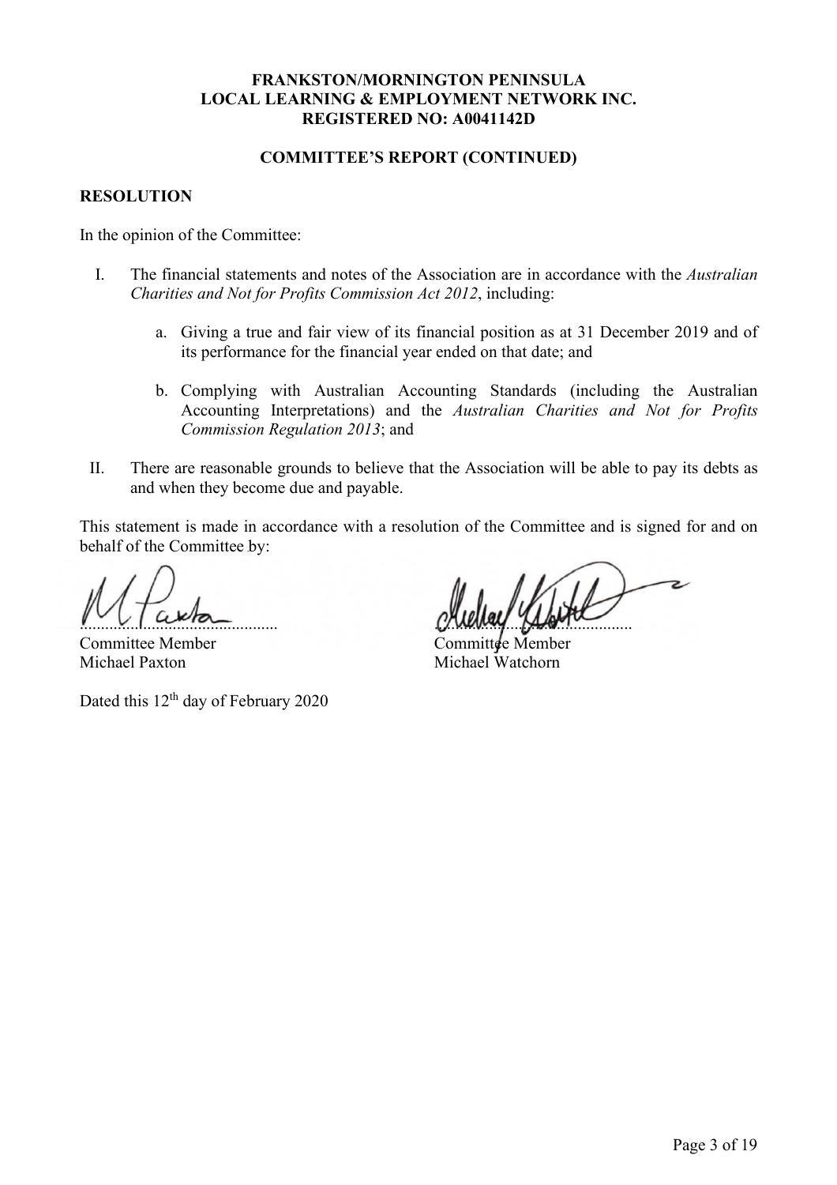### **COMMITTEE'S REPORT (CONTINUED)**

### **RESOLUTION**

In the opinion of the Committee:

- I. The financial statements and notes of the Association are in accordance with the *Australian Charities and Not for Profits Commission Act 2012*, including:
	- a. Giving a true and fair view of its financial position as at 31 December 2019 and of its performance for the financial year ended on that date; and
	- b. Complying with Australian Accounting Standards (including the Australian Accounting Interpretations) and the *Australian Charities and Not for Profits Commission Regulation 2013*; and
- II. There are reasonable grounds to believe that the Association will be able to pay its debts as and when they become due and payable.

This statement is made in accordance with a resolution of the Committee and is signed for and on behalf of the Committee by:

Committee Member Michael Paxton Michael Watchorn

Dated this  $12<sup>th</sup>$  day of February 2020

 $M_{\rm H}$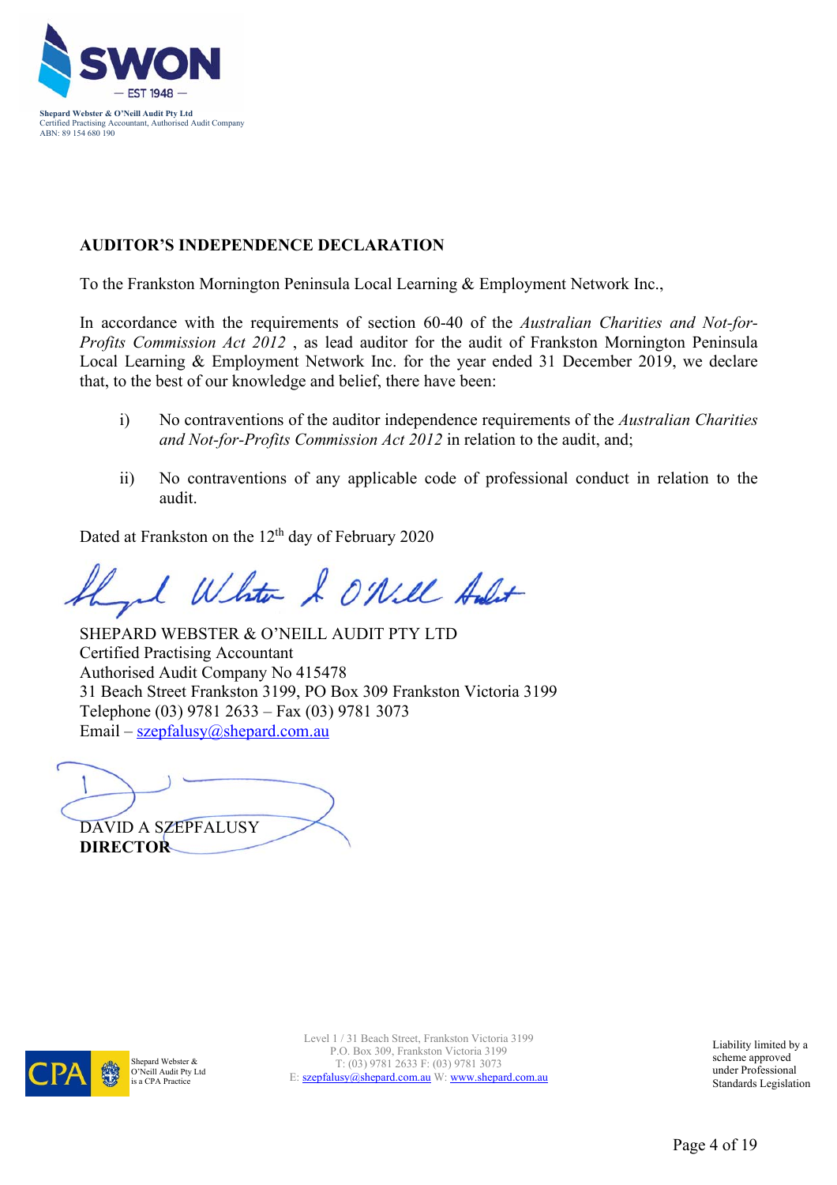

# **AUDITOR'S INDEPENDENCE DECLARATION**

To the Frankston Mornington Peninsula Local Learning & Employment Network Inc.,

In accordance with the requirements of section 60-40 of the *Australian Charities and Not-for-Profits Commission Act 2012* , as lead auditor for the audit of Frankston Mornington Peninsula Local Learning & Employment Network Inc. for the year ended 31 December 2019, we declare that, to the best of our knowledge and belief, there have been:

- i) No contraventions of the auditor independence requirements of the *Australian Charities and Not-for-Profits Commission Act 2012* in relation to the audit, and;
- ii) No contraventions of any applicable code of professional conduct in relation to the audit.

Dated at Frankston on the  $12<sup>th</sup>$  day of February 2020

White & ONill Aulit

SHEPARD WEBSTER & O'NEILL AUDIT PTY LTD Certified Practising Accountant Authorised Audit Company No 415478 31 Beach Street Frankston 3199, PO Box 309 Frankston Victoria 3199 Telephone (03) 9781 2633 – Fax (03) 9781 3073 Email – szepfalusy@shepard.com.au

DAVID A SZEPFALUSY **DIRECTOR** 



Shepard Webster & O'Neill Audit Pty Ltd is a CPA Practice

Level 1 / 31 Beach Street, Frankston Victoria 3199 P.O. Box 309, Frankston Victoria 3199 T: (03) 9781 2633 F: (03) 9781 3073 E: szepfalusy@shepard.com.au W: www.shepard.com.au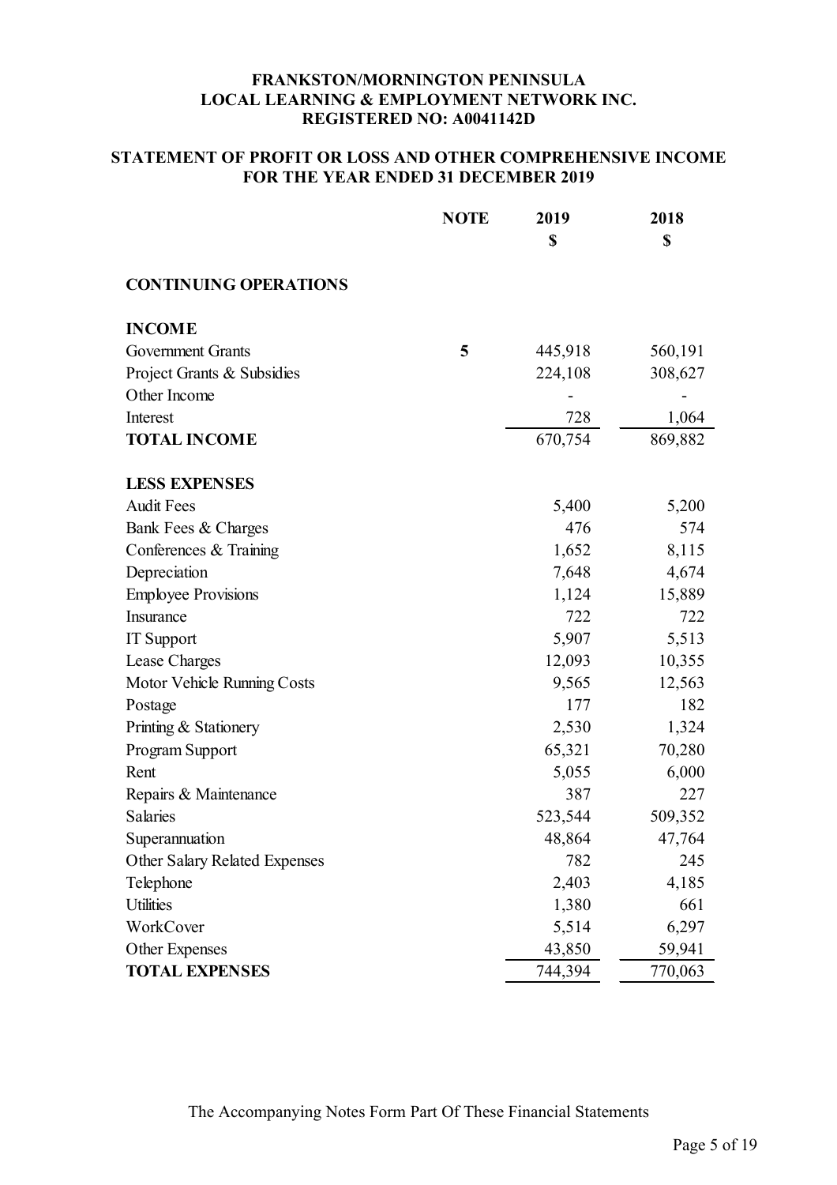## **STATEMENT OF PROFIT OR LOSS AND OTHER COMPREHENSIVE INCOME FOR THE YEAR ENDED 31 DECEMBER 2019**

|                                      | <b>NOTE</b> | 2019    | 2018    |
|--------------------------------------|-------------|---------|---------|
|                                      |             | \$      | \$      |
| <b>CONTINUING OPERATIONS</b>         |             |         |         |
| <b>INCOME</b>                        |             |         |         |
| <b>Government Grants</b>             | 5           | 445,918 | 560,191 |
| Project Grants & Subsidies           |             | 224,108 | 308,627 |
| Other Income                         |             |         |         |
| Interest                             |             | 728     | 1,064   |
| <b>TOTAL INCOME</b>                  |             | 670,754 | 869,882 |
| <b>LESS EXPENSES</b>                 |             |         |         |
| <b>Audit Fees</b>                    |             | 5,400   | 5,200   |
| Bank Fees & Charges                  |             | 476     | 574     |
| Conferences & Training               |             | 1,652   | 8,115   |
| Depreciation                         |             | 7,648   | 4,674   |
| <b>Employee Provisions</b>           |             | 1,124   | 15,889  |
| Insurance                            |             | 722     | 722     |
| <b>IT</b> Support                    |             | 5,907   | 5,513   |
| Lease Charges                        |             | 12,093  | 10,355  |
| Motor Vehicle Running Costs          |             | 9,565   | 12,563  |
| Postage                              |             | 177     | 182     |
| Printing & Stationery                |             | 2,530   | 1,324   |
| Program Support                      |             | 65,321  | 70,280  |
| Rent                                 |             | 5,055   | 6,000   |
| Repairs & Maintenance                |             | 387     | 227     |
| <b>Salaries</b>                      |             | 523,544 | 509,352 |
| Superannuation                       |             | 48,864  | 47,764  |
| <b>Other Salary Related Expenses</b> |             | 782     | 245     |
| Telephone                            |             | 2,403   | 4,185   |
| <b>Utilities</b>                     |             | 1,380   | 661     |
| WorkCover                            |             | 5,514   | 6,297   |
| Other Expenses                       |             | 43,850  | 59,941  |
| <b>TOTAL EXPENSES</b>                |             | 744,394 | 770,063 |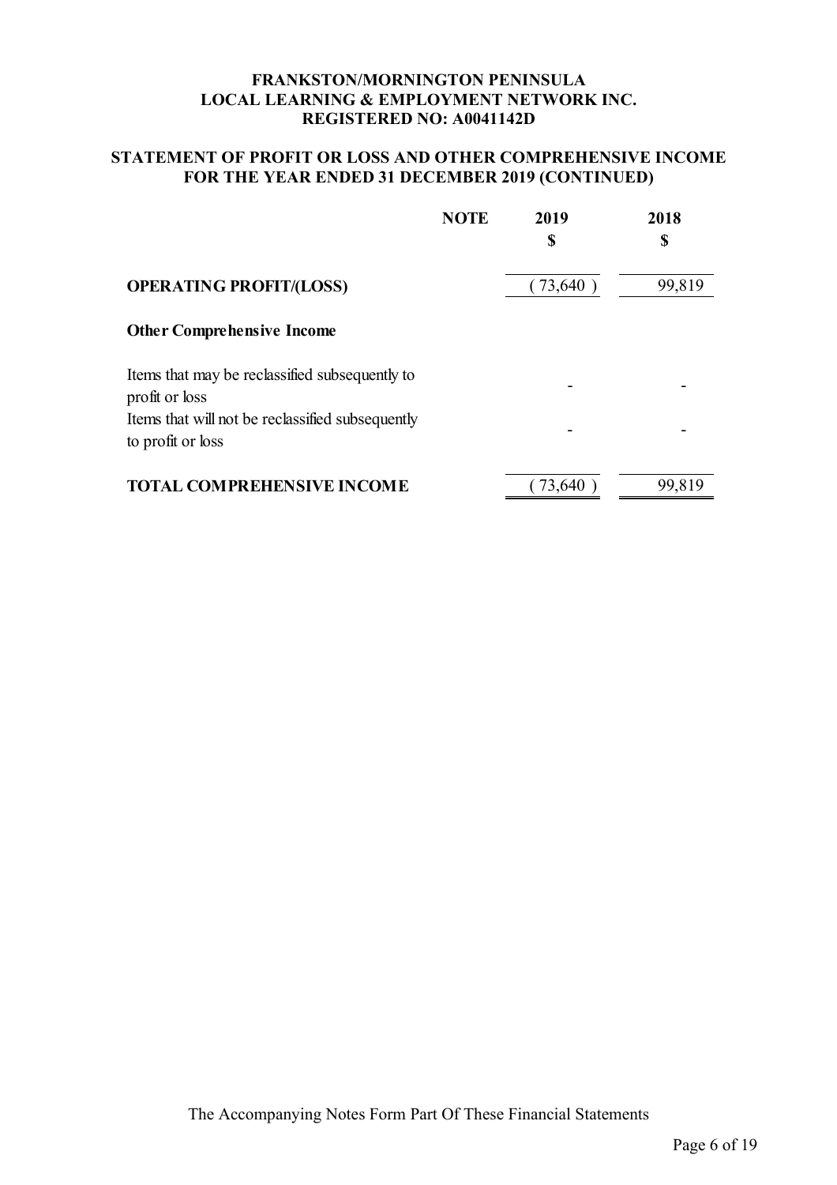## **STATEMENT OF PROFIT OR LOSS AND OTHER COMPREHENSIVE INCOME FOR THE YEAR ENDED 31 DECEMBER 2019 (CONTINUED)**

|                                                                       | <b>NOTE</b> | 2019   | 2018<br>\$ |
|-----------------------------------------------------------------------|-------------|--------|------------|
|                                                                       |             | S      |            |
| <b>OPERATING PROFIT/(LOSS)</b>                                        |             | 73,640 | 99,819     |
| <b>Other Comprehensive Income</b>                                     |             |        |            |
| Items that may be reclassified subsequently to<br>profit or loss      |             |        |            |
| Items that will not be reclassified subsequently<br>to profit or loss |             |        |            |
| <b>TOTAL COMPREHENSIVE INCOME</b>                                     |             | 73,640 | 99,819     |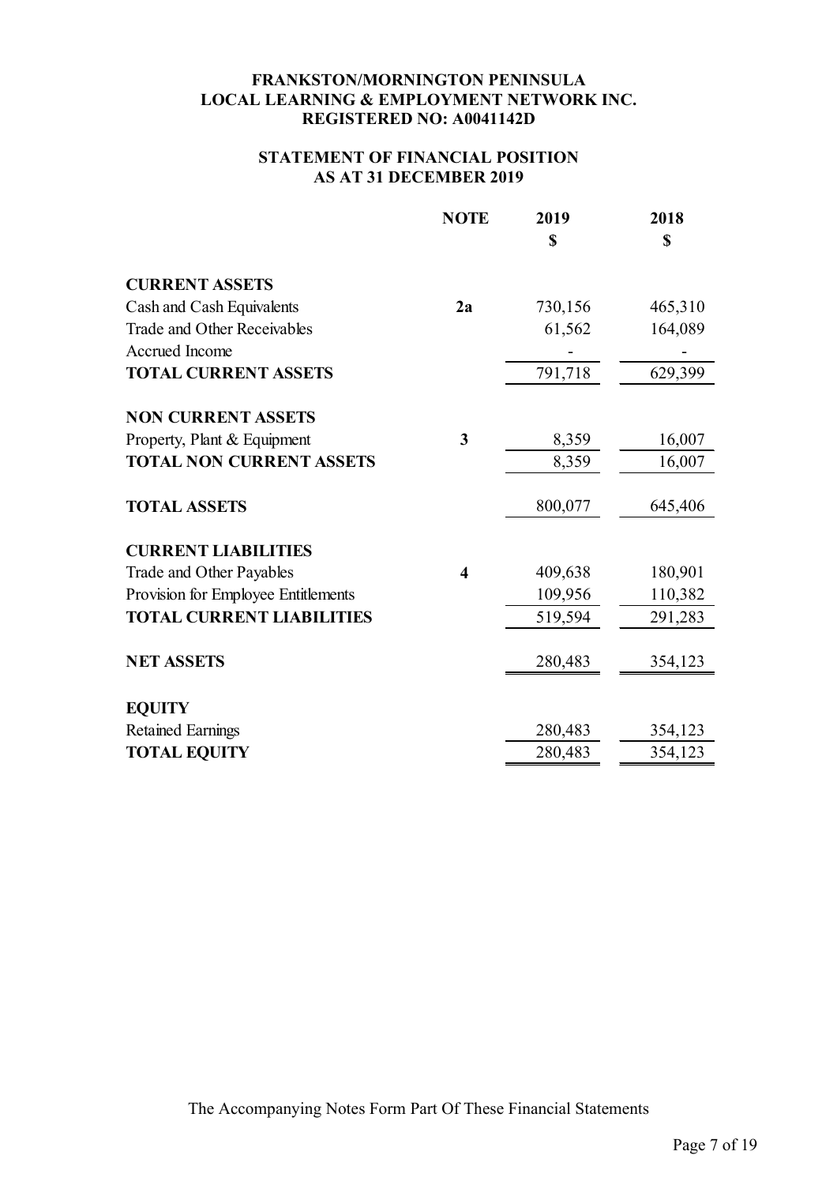### **STATEMENT OF FINANCIAL POSITION AS AT 31 DECEMBER 2019**

|                                     | <b>NOTE</b>             | 2019    | 2018    |
|-------------------------------------|-------------------------|---------|---------|
|                                     |                         | \$      | \$      |
| <b>CURRENT ASSETS</b>               |                         |         |         |
| Cash and Cash Equivalents           | 2a                      | 730,156 | 465,310 |
| Trade and Other Receivables         |                         | 61,562  | 164,089 |
| Accrued Income                      |                         |         |         |
| <b>TOTAL CURRENT ASSETS</b>         |                         | 791,718 | 629,399 |
| <b>NON CURRENT ASSETS</b>           |                         |         |         |
| Property, Plant & Equipment         | 3                       | 8,359   | 16,007  |
| <b>TOTAL NON CURRENT ASSETS</b>     |                         | 8,359   | 16,007  |
| <b>TOTAL ASSETS</b>                 |                         | 800,077 | 645,406 |
| <b>CURRENT LIABILITIES</b>          |                         |         |         |
| Trade and Other Payables            | $\overline{\mathbf{4}}$ | 409,638 | 180,901 |
| Provision for Employee Entitlements |                         | 109,956 | 110,382 |
| <b>TOTAL CURRENT LIABILITIES</b>    |                         | 519,594 | 291,283 |
| <b>NET ASSETS</b>                   |                         | 280,483 | 354,123 |
| <b>EQUITY</b>                       |                         |         |         |
| <b>Retained Earnings</b>            |                         | 280,483 | 354,123 |
| <b>TOTAL EQUITY</b>                 |                         | 280,483 | 354,123 |
|                                     |                         |         |         |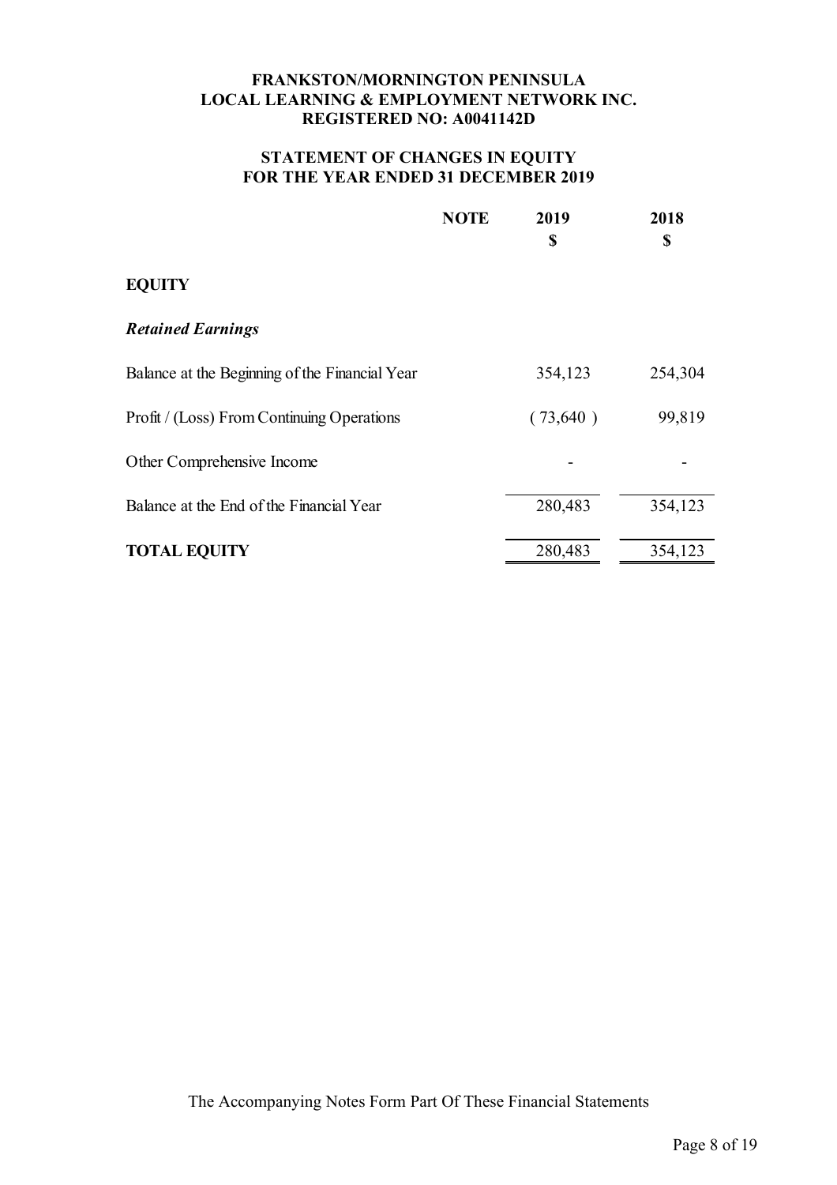### **STATEMENT OF CHANGES IN EQUITY FOR THE YEAR ENDED 31 DECEMBER 2019**

|                                                | <b>NOTE</b> | 2019<br>\$ | 2018<br>\$ |
|------------------------------------------------|-------------|------------|------------|
| <b>EQUITY</b>                                  |             |            |            |
| <b>Retained Earnings</b>                       |             |            |            |
| Balance at the Beginning of the Financial Year |             | 354,123    | 254,304    |
| Profit / (Loss) From Continuing Operations     |             | (73,640)   | 99,819     |
| Other Comprehensive Income                     |             |            |            |
| Balance at the End of the Financial Year       |             | 280,483    | 354,123    |
| <b>TOTAL EQUITY</b>                            |             | 280,483    | 354,123    |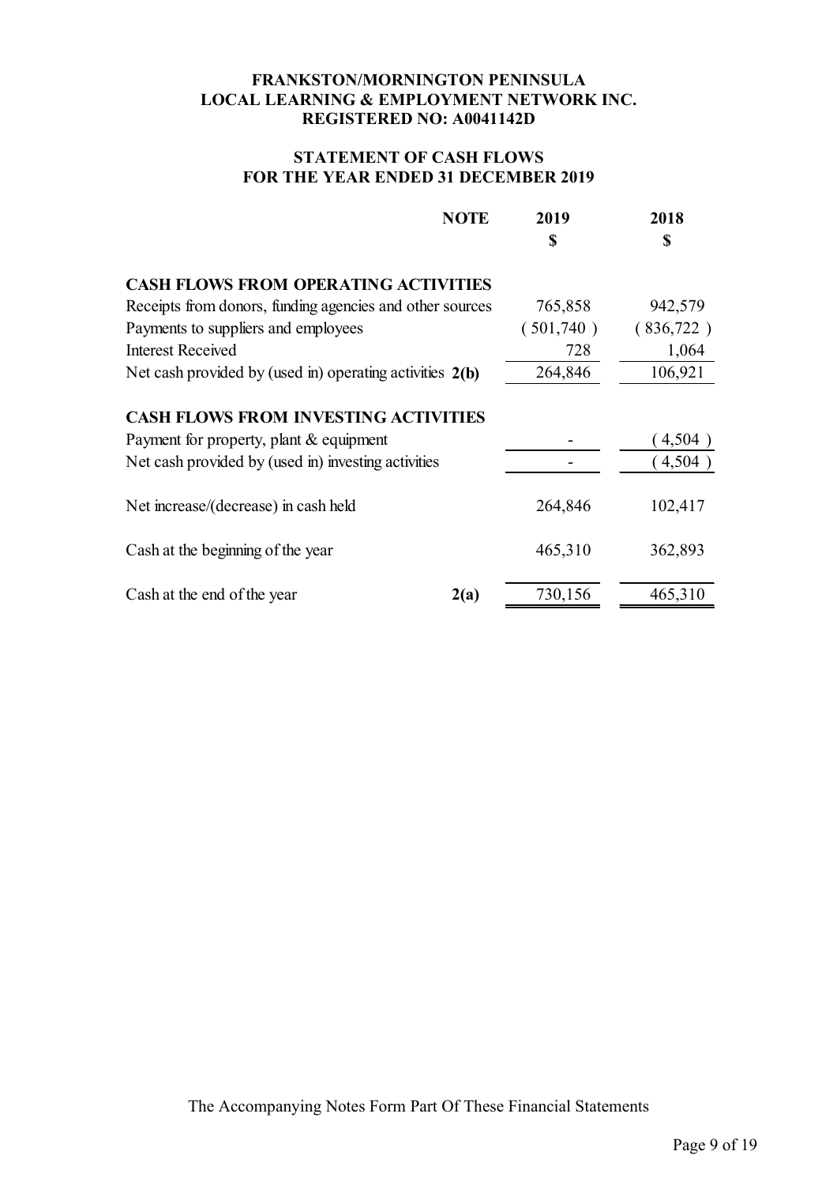## **STATEMENT OF CASH FLOWS FOR THE YEAR ENDED 31 DECEMBER 2019**

| <b>NOTE</b>                                                | 2019      | 2018      |
|------------------------------------------------------------|-----------|-----------|
|                                                            | \$        | \$        |
| <b>CASH FLOWS FROM OPERATING ACTIVITIES</b>                |           |           |
| Receipts from donors, funding agencies and other sources   | 765,858   | 942,579   |
| Payments to suppliers and employees                        | (501,740) | (836,722) |
| <b>Interest Received</b>                                   | 728       | 1,064     |
| Net cash provided by (used in) operating activities $2(b)$ | 264,846   | 106,921   |
| <b>CASH FLOWS FROM INVESTING ACTIVITIES</b>                |           |           |
| Payment for property, plant & equipment                    |           | 4,504)    |
| Net cash provided by (used in) investing activities        |           | 4,504)    |
| Net increase/(decrease) in cash held                       | 264,846   | 102,417   |
| Cash at the beginning of the year                          | 465,310   | 362,893   |
| Cash at the end of the year<br>2(a)                        | 730,156   | 465,310   |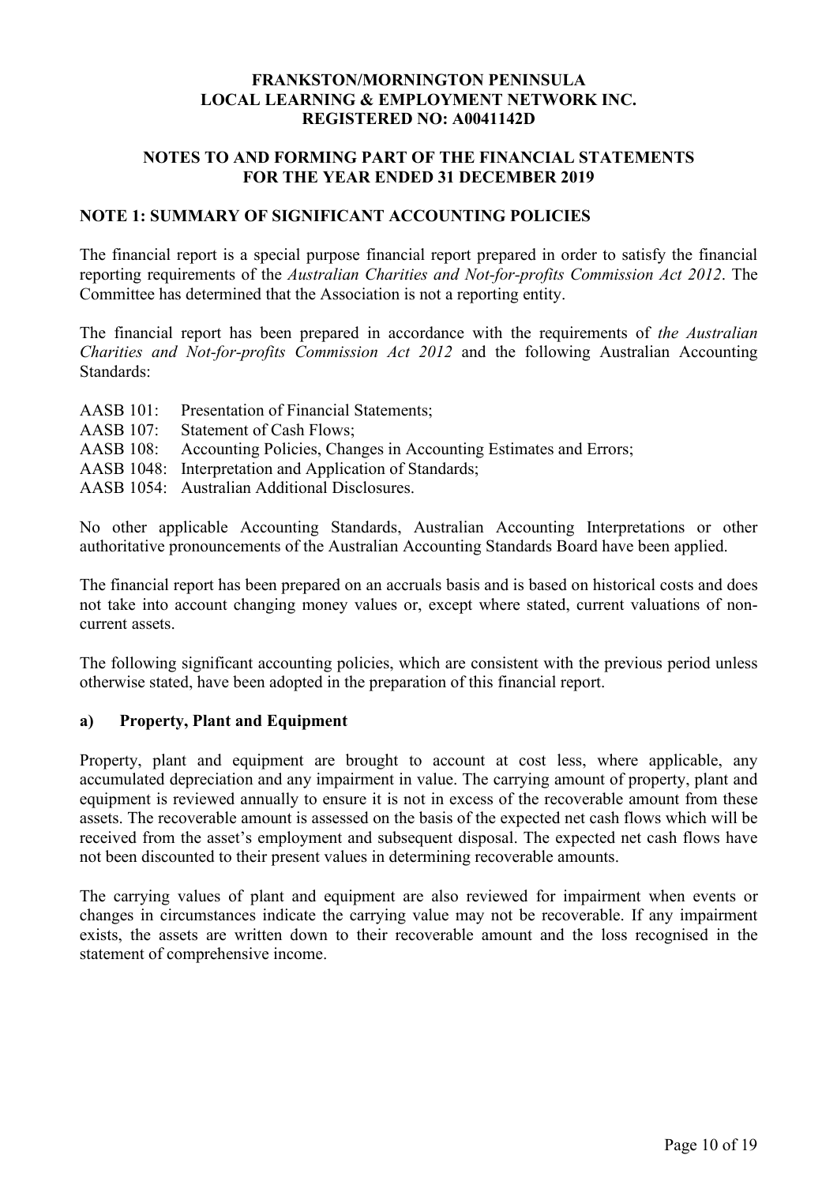### **NOTES TO AND FORMING PART OF THE FINANCIAL STATEMENTS FOR THE YEAR ENDED 31 DECEMBER 2019**

### **NOTE 1: SUMMARY OF SIGNIFICANT ACCOUNTING POLICIES**

The financial report is a special purpose financial report prepared in order to satisfy the financial reporting requirements of the *Australian Charities and Not-for-profits Commission Act 2012*. The Committee has determined that the Association is not a reporting entity.

The financial report has been prepared in accordance with the requirements of *the Australian Charities and Not-for-profits Commission Act 2012* and the following Australian Accounting Standards:

AASB 101: Presentation of Financial Statements; AASB 107: Statement of Cash Flows; AASB 108: Accounting Policies, Changes in Accounting Estimates and Errors; AASB 1048: Interpretation and Application of Standards; AASB 1054: Australian Additional Disclosures.

No other applicable Accounting Standards, Australian Accounting Interpretations or other authoritative pronouncements of the Australian Accounting Standards Board have been applied.

The financial report has been prepared on an accruals basis and is based on historical costs and does not take into account changing money values or, except where stated, current valuations of noncurrent assets.

The following significant accounting policies, which are consistent with the previous period unless otherwise stated, have been adopted in the preparation of this financial report.

### **a) Property, Plant and Equipment**

Property, plant and equipment are brought to account at cost less, where applicable, any accumulated depreciation and any impairment in value. The carrying amount of property, plant and equipment is reviewed annually to ensure it is not in excess of the recoverable amount from these assets. The recoverable amount is assessed on the basis of the expected net cash flows which will be received from the asset's employment and subsequent disposal. The expected net cash flows have not been discounted to their present values in determining recoverable amounts.

The carrying values of plant and equipment are also reviewed for impairment when events or changes in circumstances indicate the carrying value may not be recoverable. If any impairment exists, the assets are written down to their recoverable amount and the loss recognised in the statement of comprehensive income.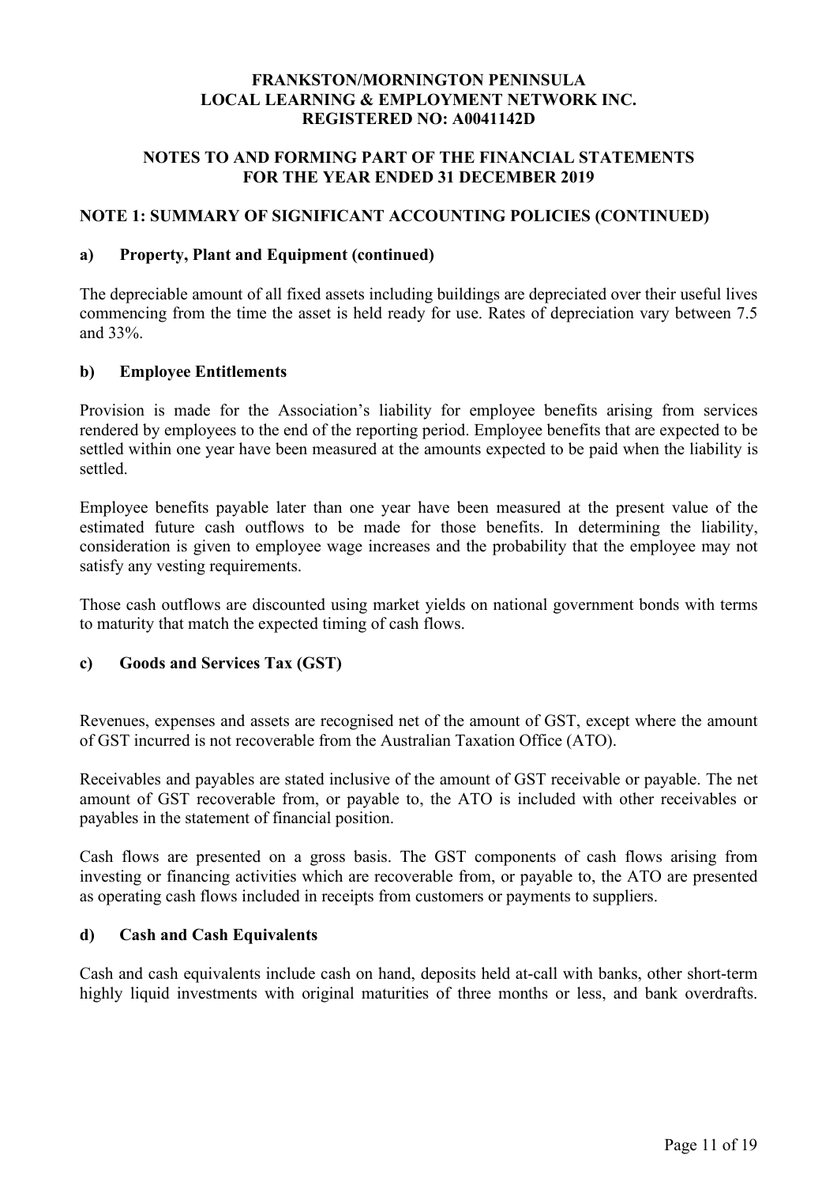## **NOTES TO AND FORMING PART OF THE FINANCIAL STATEMENTS FOR THE YEAR ENDED 31 DECEMBER 2019**

### **NOTE 1: SUMMARY OF SIGNIFICANT ACCOUNTING POLICIES (CONTINUED)**

### **a) Property, Plant and Equipment (continued)**

The depreciable amount of all fixed assets including buildings are depreciated over their useful lives commencing from the time the asset is held ready for use. Rates of depreciation vary between 7.5 and 33%.

#### **b) Employee Entitlements**

Provision is made for the Association's liability for employee benefits arising from services rendered by employees to the end of the reporting period. Employee benefits that are expected to be settled within one year have been measured at the amounts expected to be paid when the liability is settled.

Employee benefits payable later than one year have been measured at the present value of the estimated future cash outflows to be made for those benefits. In determining the liability, consideration is given to employee wage increases and the probability that the employee may not satisfy any vesting requirements.

Those cash outflows are discounted using market yields on national government bonds with terms to maturity that match the expected timing of cash flows.

### **c) Goods and Services Tax (GST)**

Revenues, expenses and assets are recognised net of the amount of GST, except where the amount of GST incurred is not recoverable from the Australian Taxation Office (ATO).

Receivables and payables are stated inclusive of the amount of GST receivable or payable. The net amount of GST recoverable from, or payable to, the ATO is included with other receivables or payables in the statement of financial position.

Cash flows are presented on a gross basis. The GST components of cash flows arising from investing or financing activities which are recoverable from, or payable to, the ATO are presented as operating cash flows included in receipts from customers or payments to suppliers.

### **d) Cash and Cash Equivalents**

Cash and cash equivalents include cash on hand, deposits held at-call with banks, other short-term highly liquid investments with original maturities of three months or less, and bank overdrafts.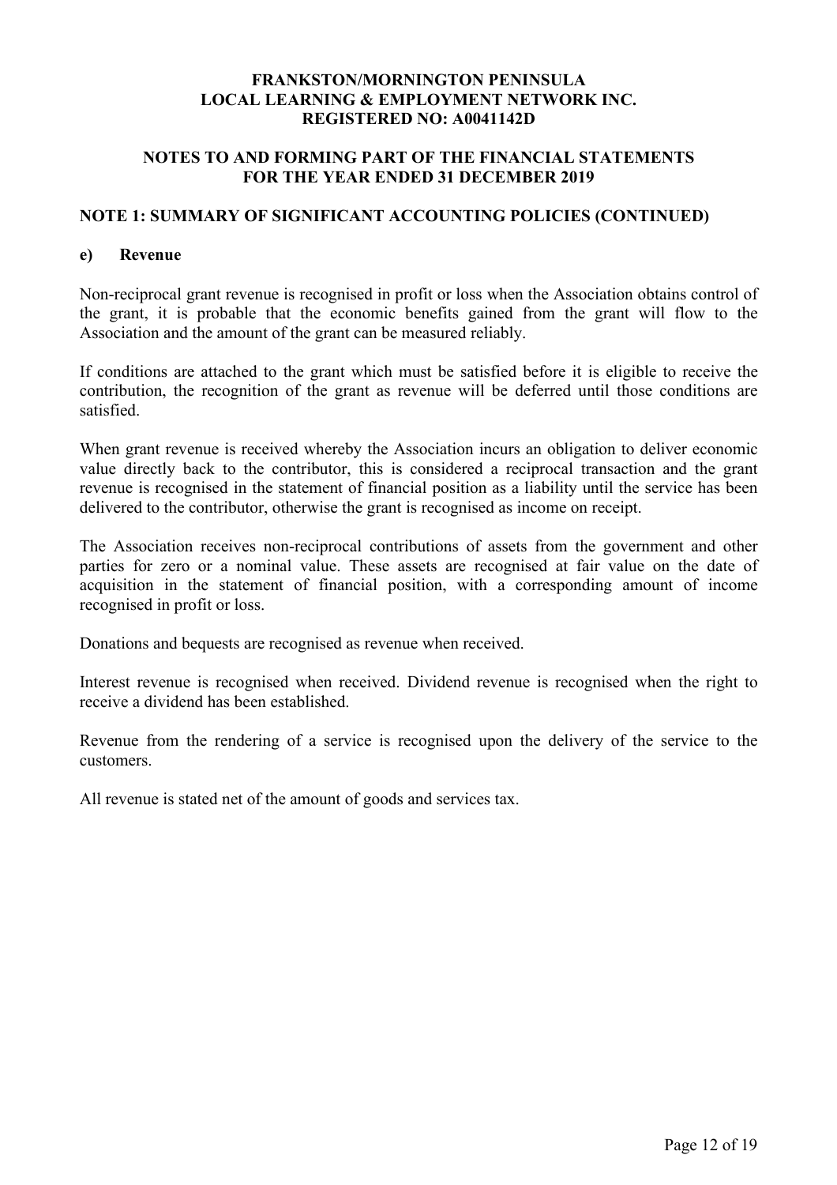### **NOTES TO AND FORMING PART OF THE FINANCIAL STATEMENTS FOR THE YEAR ENDED 31 DECEMBER 2019**

### **NOTE 1: SUMMARY OF SIGNIFICANT ACCOUNTING POLICIES (CONTINUED)**

#### **e) Revenue**

Non-reciprocal grant revenue is recognised in profit or loss when the Association obtains control of the grant, it is probable that the economic benefits gained from the grant will flow to the Association and the amount of the grant can be measured reliably.

If conditions are attached to the grant which must be satisfied before it is eligible to receive the contribution, the recognition of the grant as revenue will be deferred until those conditions are satisfied.

When grant revenue is received whereby the Association incurs an obligation to deliver economic value directly back to the contributor, this is considered a reciprocal transaction and the grant revenue is recognised in the statement of financial position as a liability until the service has been delivered to the contributor, otherwise the grant is recognised as income on receipt.

The Association receives non-reciprocal contributions of assets from the government and other parties for zero or a nominal value. These assets are recognised at fair value on the date of acquisition in the statement of financial position, with a corresponding amount of income recognised in profit or loss.

Donations and bequests are recognised as revenue when received.

Interest revenue is recognised when received. Dividend revenue is recognised when the right to receive a dividend has been established.

Revenue from the rendering of a service is recognised upon the delivery of the service to the customers.

All revenue is stated net of the amount of goods and services tax.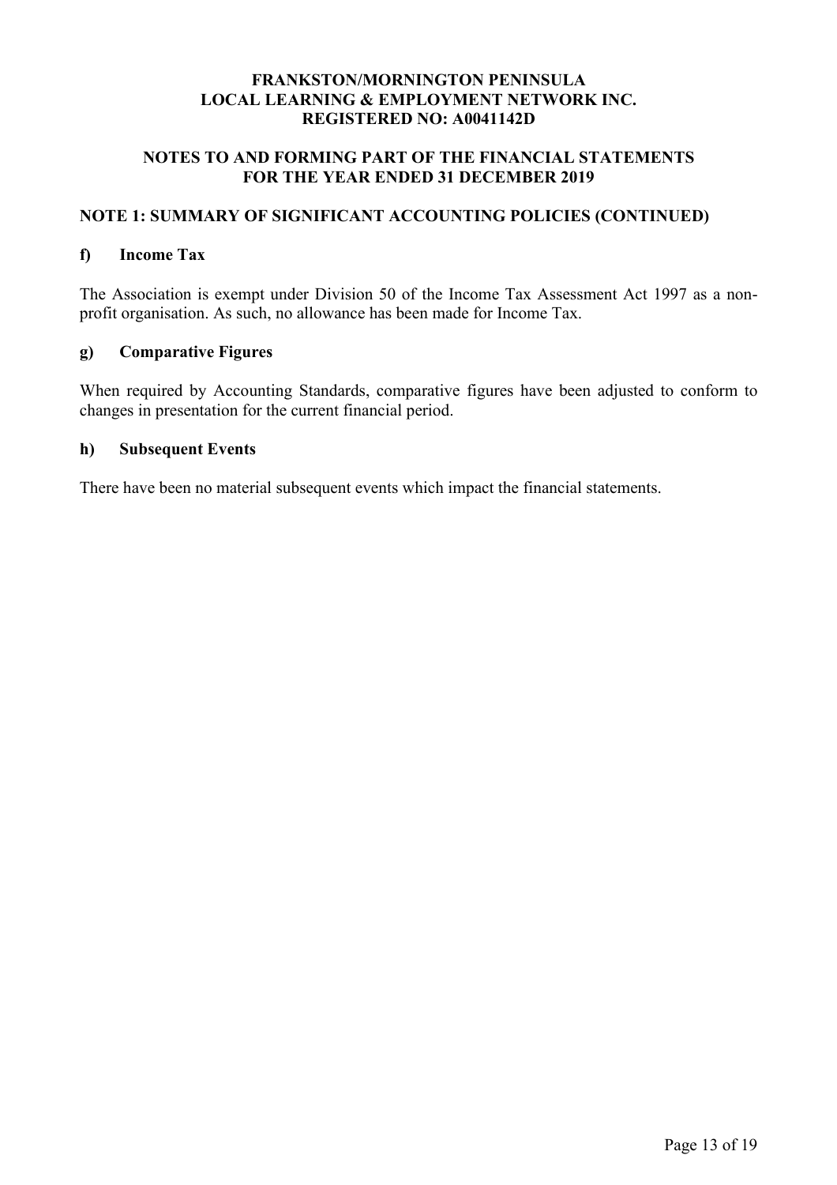## **NOTES TO AND FORMING PART OF THE FINANCIAL STATEMENTS FOR THE YEAR ENDED 31 DECEMBER 2019**

# **NOTE 1: SUMMARY OF SIGNIFICANT ACCOUNTING POLICIES (CONTINUED)**

#### **f) Income Tax**

The Association is exempt under Division 50 of the Income Tax Assessment Act 1997 as a nonprofit organisation. As such, no allowance has been made for Income Tax.

### **g) Comparative Figures**

When required by Accounting Standards, comparative figures have been adjusted to conform to changes in presentation for the current financial period.

### **h) Subsequent Events**

There have been no material subsequent events which impact the financial statements.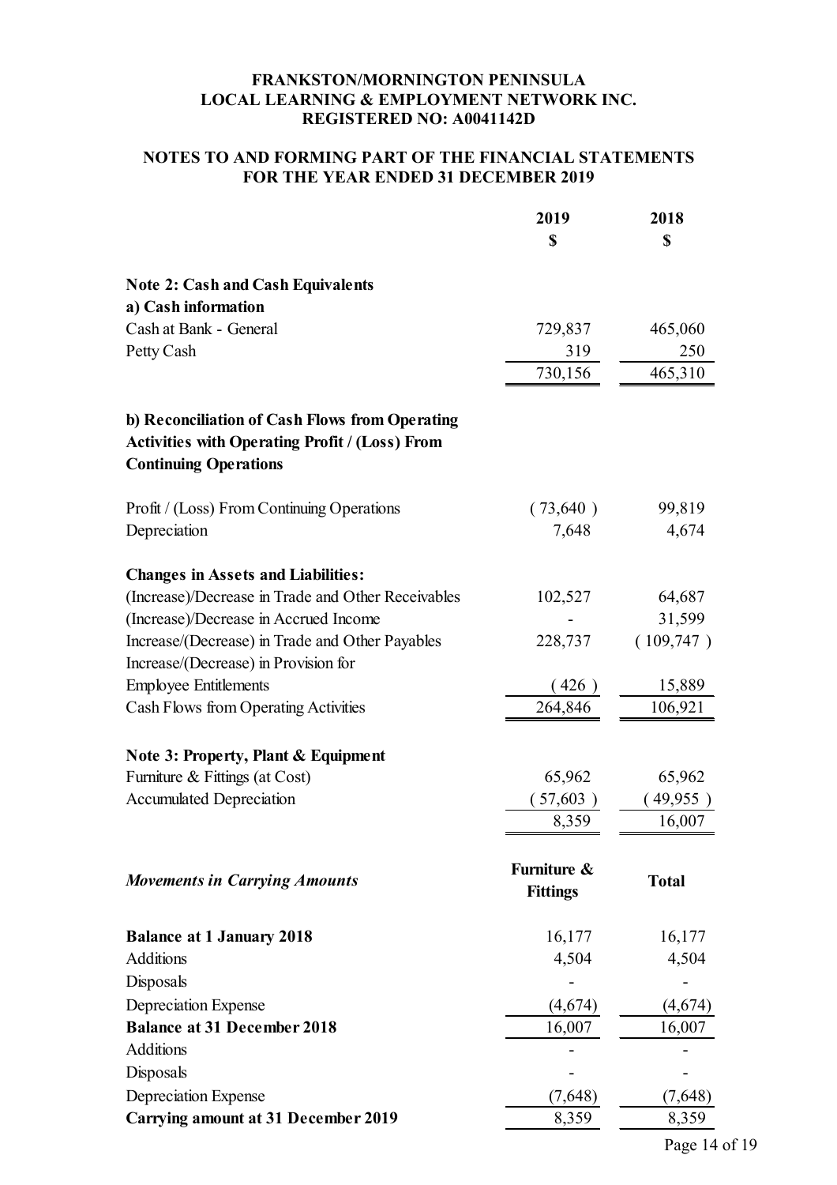## **NOTES TO AND FORMING PART OF THE FINANCIAL STATEMENTS FOR THE YEAR ENDED 31 DECEMBER 2019**

|                                                                                                                                         | 2019<br>\$                     | 2018<br>\$   |
|-----------------------------------------------------------------------------------------------------------------------------------------|--------------------------------|--------------|
| <b>Note 2: Cash and Cash Equivalents</b>                                                                                                |                                |              |
| a) Cash information                                                                                                                     |                                |              |
| Cash at Bank - General                                                                                                                  | 729,837                        | 465,060      |
| Petty Cash                                                                                                                              | 319                            | 250          |
|                                                                                                                                         | 730,156                        | 465,310      |
| b) Reconciliation of Cash Flows from Operating<br><b>Activities with Operating Profit / (Loss) From</b><br><b>Continuing Operations</b> |                                |              |
| Profit / (Loss) From Continuing Operations                                                                                              | (73,640)                       | 99,819       |
| Depreciation                                                                                                                            | 7,648                          | 4,674        |
| <b>Changes in Assets and Liabilities:</b><br>(Increase)/Decrease in Trade and Other Receivables                                         | 102,527                        | 64,687       |
| (Increase)/Decrease in Accrued Income                                                                                                   |                                | 31,599       |
| Increase/(Decrease) in Trade and Other Payables                                                                                         | 228,737                        | (109,747)    |
| Increase/(Decrease) in Provision for                                                                                                    |                                |              |
| <b>Employee Entitlements</b>                                                                                                            | (426)                          | 15,889       |
| Cash Flows from Operating Activities                                                                                                    | 264,846                        | 106,921      |
| <b>Note 3: Property, Plant &amp; Equipment</b>                                                                                          |                                |              |
| Furniture & Fittings (at Cost)                                                                                                          | 65,962                         | 65,962       |
| <b>Accumulated Depreciation</b>                                                                                                         | 57,603)                        | 49,955)      |
|                                                                                                                                         | 8,359                          | 16,007       |
| <b>Movements in Carrying Amounts</b>                                                                                                    | Furniture &<br><b>Fittings</b> | <b>Total</b> |
| <b>Balance at 1 January 2018</b>                                                                                                        | 16,177                         | 16,177       |
| <b>Additions</b>                                                                                                                        | 4,504                          | 4,504        |
| Disposals                                                                                                                               |                                |              |
| Depreciation Expense                                                                                                                    | (4,674)                        | (4,674)      |
| <b>Balance at 31 December 2018</b>                                                                                                      | 16,007                         | 16,007       |
| Additions                                                                                                                               |                                |              |
| Disposals                                                                                                                               |                                |              |
| Depreciation Expense                                                                                                                    | (7,648)                        | (7,648)      |
| <b>Carrying amount at 31 December 2019</b>                                                                                              | 8,359                          | 8,359        |

Page 14 of 19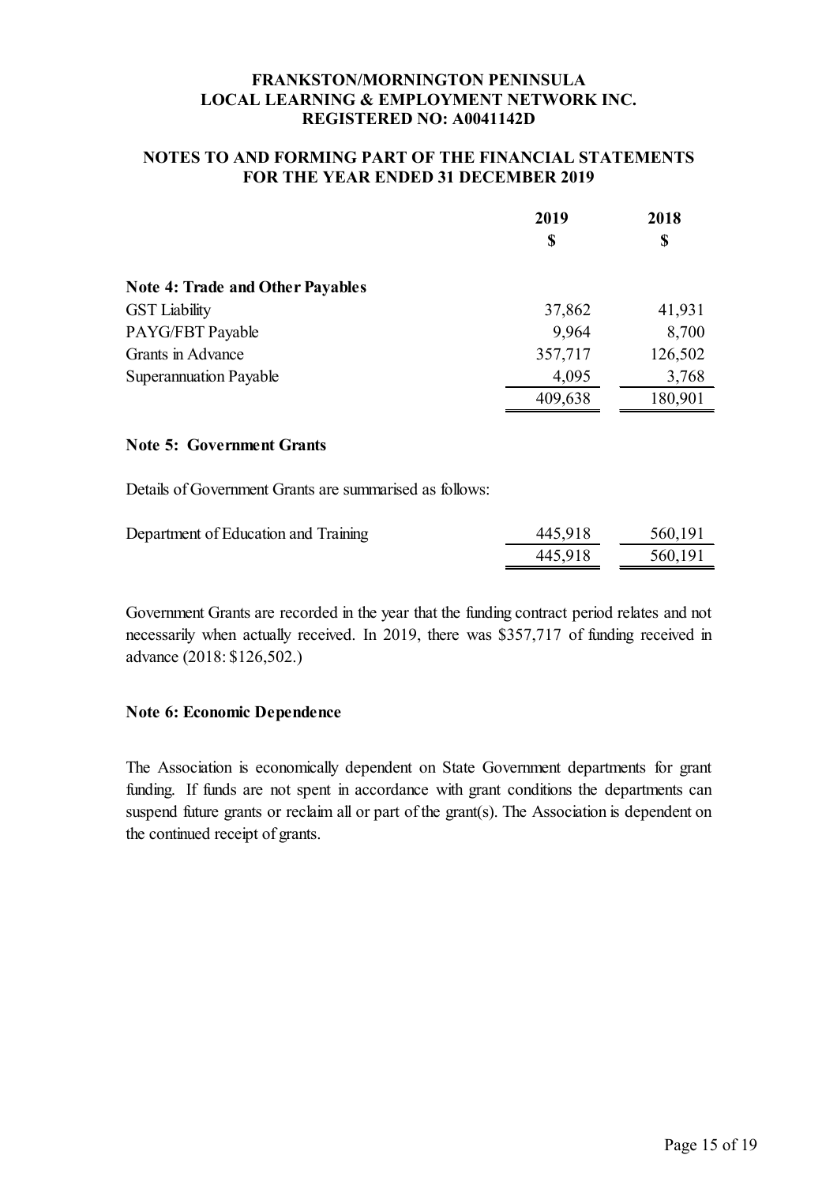### **NOTES TO AND FORMING PART OF THE FINANCIAL STATEMENTS FOR THE YEAR ENDED 31 DECEMBER 2019**

|                                         | 2019<br>\$ | 2018<br>\$ |
|-----------------------------------------|------------|------------|
|                                         |            |            |
| <b>Note 4: Trade and Other Payables</b> |            |            |
| <b>GST</b> Liability                    | 37,862     | 41,931     |
| PAYG/FBT Payable                        | 9,964      | 8,700      |
| Grants in Advance                       | 357,717    | 126,502    |
| <b>Superannuation Payable</b>           | 4,095      | 3,768      |
|                                         | 409,638    | 180,901    |

#### **Note 5: Government Grants**

Details of Government Grants are summarised as follows:

| Department of Education and Training | 445,918 | 560,191 |
|--------------------------------------|---------|---------|
|                                      | 445,918 | 560,191 |

Government Grants are recorded in the year that the funding contract period relates and not necessarily when actually received. In 2019, there was \$357,717 of funding received in advance (2018: \$126,502.)

### **Note 6: Economic Dependence**

The Association is economically dependent on State Government departments for grant funding. If funds are not spent in accordance with grant conditions the departments can suspend future grants or reclaim all or part of the grant(s). The Association is dependent on the continued receipt of grants.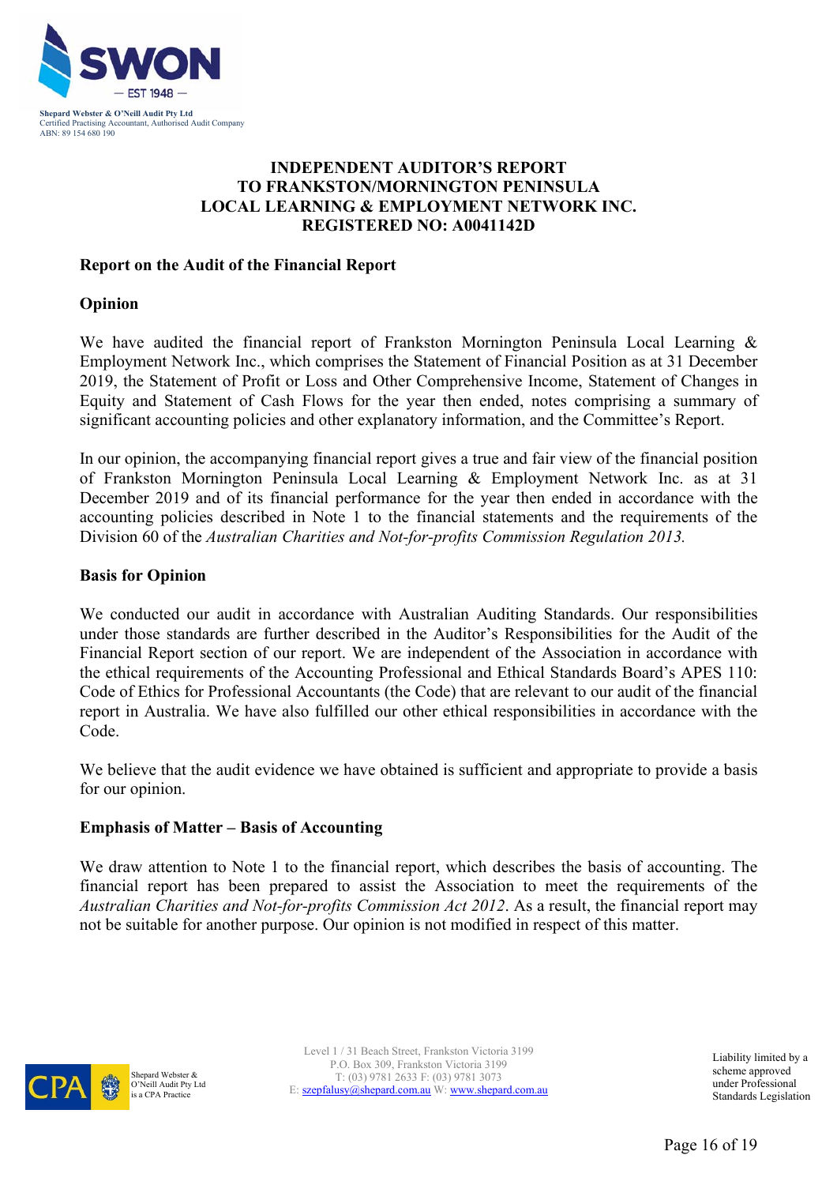

# **INDEPENDENT AUDITOR'S REPORT TO FRANKSTON/MORNINGTON PENINSULA LOCAL LEARNING & EMPLOYMENT NETWORK INC. REGISTERED NO: A0041142D**

### **Report on the Audit of the Financial Report**

### **Opinion**

We have audited the financial report of Frankston Mornington Peninsula Local Learning & Employment Network Inc., which comprises the Statement of Financial Position as at 31 December 2019, the Statement of Profit or Loss and Other Comprehensive Income, Statement of Changes in Equity and Statement of Cash Flows for the year then ended, notes comprising a summary of significant accounting policies and other explanatory information, and the Committee's Report.

In our opinion, the accompanying financial report gives a true and fair view of the financial position of Frankston Mornington Peninsula Local Learning & Employment Network Inc. as at 31 December 2019 and of its financial performance for the year then ended in accordance with the accounting policies described in Note 1 to the financial statements and the requirements of the Division 60 of the *Australian Charities and Not-for-profits Commission Regulation 2013.*

### **Basis for Opinion**

We conducted our audit in accordance with Australian Auditing Standards. Our responsibilities under those standards are further described in the Auditor's Responsibilities for the Audit of the Financial Report section of our report. We are independent of the Association in accordance with the ethical requirements of the Accounting Professional and Ethical Standards Board's APES 110: Code of Ethics for Professional Accountants (the Code) that are relevant to our audit of the financial report in Australia. We have also fulfilled our other ethical responsibilities in accordance with the Code.

We believe that the audit evidence we have obtained is sufficient and appropriate to provide a basis for our opinion.

### **Emphasis of Matter – Basis of Accounting**

We draw attention to Note 1 to the financial report, which describes the basis of accounting. The financial report has been prepared to assist the Association to meet the requirements of the *Australian Charities and Not-for-profits Commission Act 2012*. As a result, the financial report may not be suitable for another purpose. Our opinion is not modified in respect of this matter.



Shepard Webster & O'Neill Audit Pty Ltd is a CPA Practice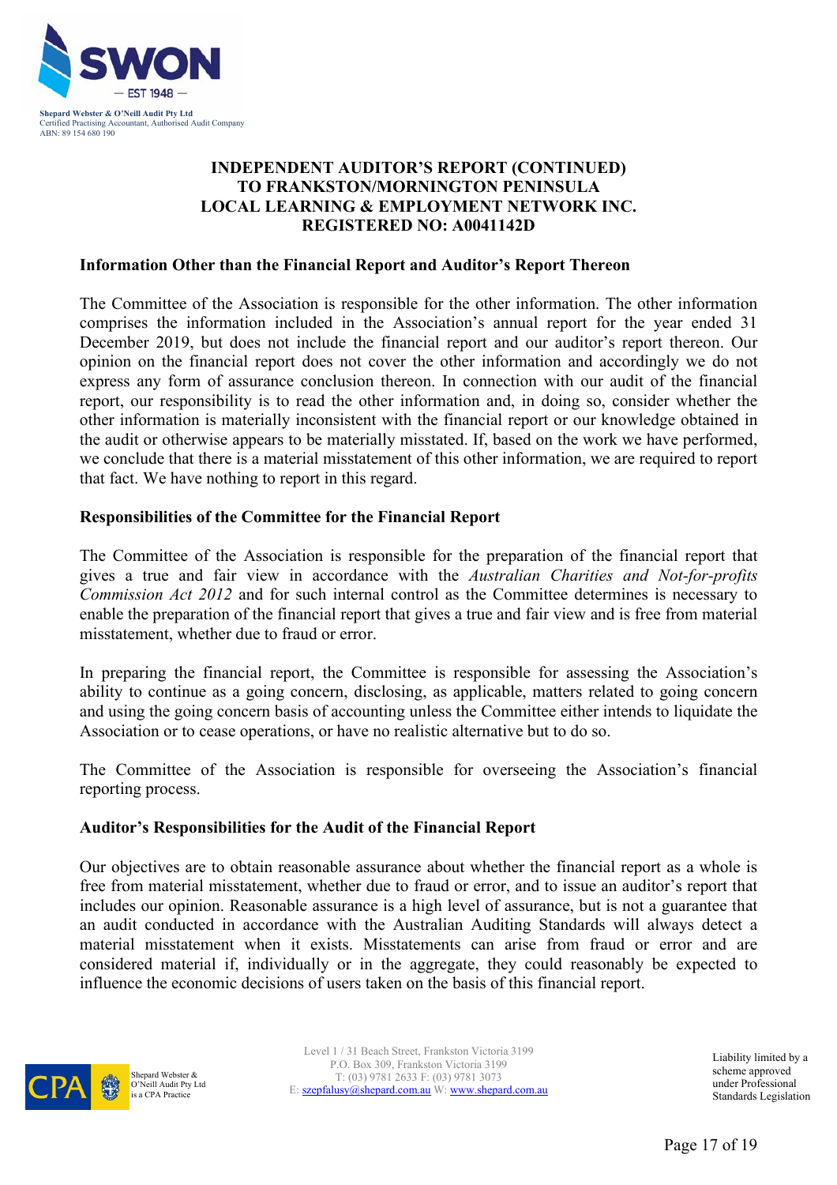

# **INDEPENDENT AUDITOR'S REPORT (CONTINUED) TO FRANKSTON/MORNINGTON PENINSULA LOCAL LEARNING & EMPLOYMENT NETWORK INC. REGISTERED NO: A0041142D**

#### **Information Other than the Financial Report and Auditor's Report Thereon**

The Committee of the Association is responsible for the other information. The other information comprises the information included in the Association's annual report for the year ended 31 December 2019, but does not include the financial report and our auditor's report thereon. Our opinion on the financial report does not cover the other information and accordingly we do not express any form of assurance conclusion thereon. In connection with our audit of the financial report, our responsibility is to read the other information and, in doing so, consider whether the other information is materially inconsistent with the financial report or our knowledge obtained in the audit or otherwise appears to be materially misstated. If, based on the work we have performed, we conclude that there is a material misstatement of this other information, we are required to report that fact. We have nothing to report in this regard.

### **Responsibilities of the Committee for the Financial Report**

The Committee of the Association is responsible for the preparation of the financial report that gives a true and fair view in accordance with the *Australian Charities and Not-for-profits Commission Act 2012* and for such internal control as the Committee determines is necessary to enable the preparation of the financial report that gives a true and fair view and is free from material misstatement, whether due to fraud or error.

In preparing the financial report, the Committee is responsible for assessing the Association's ability to continue as a going concern, disclosing, as applicable, matters related to going concern and using the going concern basis of accounting unless the Committee either intends to liquidate the Association or to cease operations, or have no realistic alternative but to do so.

The Committee of the Association is responsible for overseeing the Association's financial reporting process.

#### **Auditor's Responsibilities for the Audit of the Financial Report**

Our objectives are to obtain reasonable assurance about whether the financial report as a whole is free from material misstatement, whether due to fraud or error, and to issue an auditor's report that includes our opinion. Reasonable assurance is a high level of assurance, but is not a guarantee that an audit conducted in accordance with the Australian Auditing Standards will always detect a material misstatement when it exists. Misstatements can arise from fraud or error and are considered material if, individually or in the aggregate, they could reasonably be expected to influence the economic decisions of users taken on the basis of this financial report.



Shepard Webster & O'Neill Audit Pty Ltd is a CPA Practice

Level 1 / 31 Beach Street, Frankston Victoria 3199 P.O. Box 309, Frankston Victoria 3199 T: (03) 9781 2633 F: (03) 9781 3073 E: szepfalusy@shepard.com.au W: www.shepard.com.au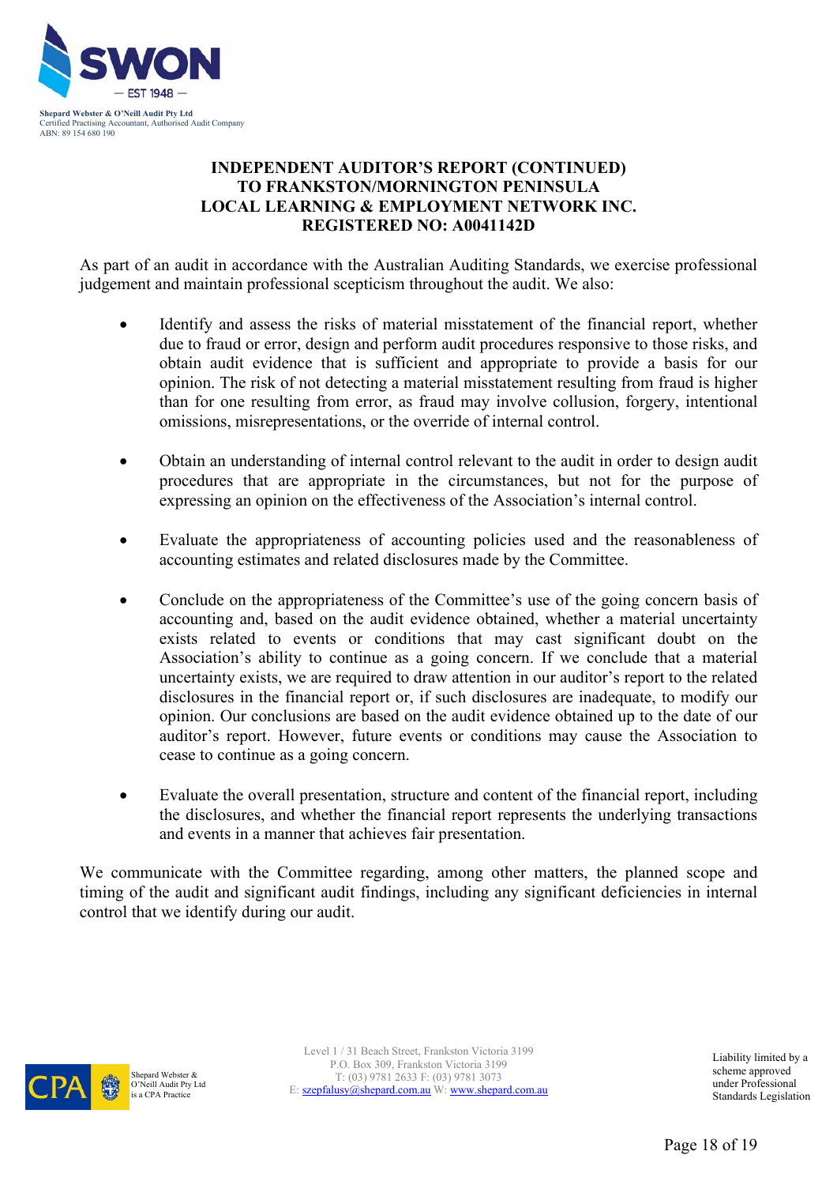

# **INDEPENDENT AUDITOR'S REPORT (CONTINUED) TO FRANKSTON/MORNINGTON PENINSULA LOCAL LEARNING & EMPLOYMENT NETWORK INC. REGISTERED NO: A0041142D**

As part of an audit in accordance with the Australian Auditing Standards, we exercise professional judgement and maintain professional scepticism throughout the audit. We also:

- Identify and assess the risks of material misstatement of the financial report, whether due to fraud or error, design and perform audit procedures responsive to those risks, and obtain audit evidence that is sufficient and appropriate to provide a basis for our opinion. The risk of not detecting a material misstatement resulting from fraud is higher than for one resulting from error, as fraud may involve collusion, forgery, intentional omissions, misrepresentations, or the override of internal control.
- Obtain an understanding of internal control relevant to the audit in order to design audit procedures that are appropriate in the circumstances, but not for the purpose of expressing an opinion on the effectiveness of the Association's internal control.
- Evaluate the appropriateness of accounting policies used and the reasonableness of accounting estimates and related disclosures made by the Committee.
- Conclude on the appropriateness of the Committee's use of the going concern basis of accounting and, based on the audit evidence obtained, whether a material uncertainty exists related to events or conditions that may cast significant doubt on the Association's ability to continue as a going concern. If we conclude that a material uncertainty exists, we are required to draw attention in our auditor's report to the related disclosures in the financial report or, if such disclosures are inadequate, to modify our opinion. Our conclusions are based on the audit evidence obtained up to the date of our auditor's report. However, future events or conditions may cause the Association to cease to continue as a going concern.
- Evaluate the overall presentation, structure and content of the financial report, including the disclosures, and whether the financial report represents the underlying transactions and events in a manner that achieves fair presentation.

We communicate with the Committee regarding, among other matters, the planned scope and timing of the audit and significant audit findings, including any significant deficiencies in internal control that we identify during our audit.



Shepard Webster & O'Neill Audit Pty Ltd is a CPA Practice

Level 1 / 31 Beach Street, Frankston Victoria 3199 P.O. Box 309, Frankston Victoria 3199 T: (03) 9781 2633 F: (03) 9781 3073 E: szepfalusy@shepard.com.au W: www.shepard.com.au